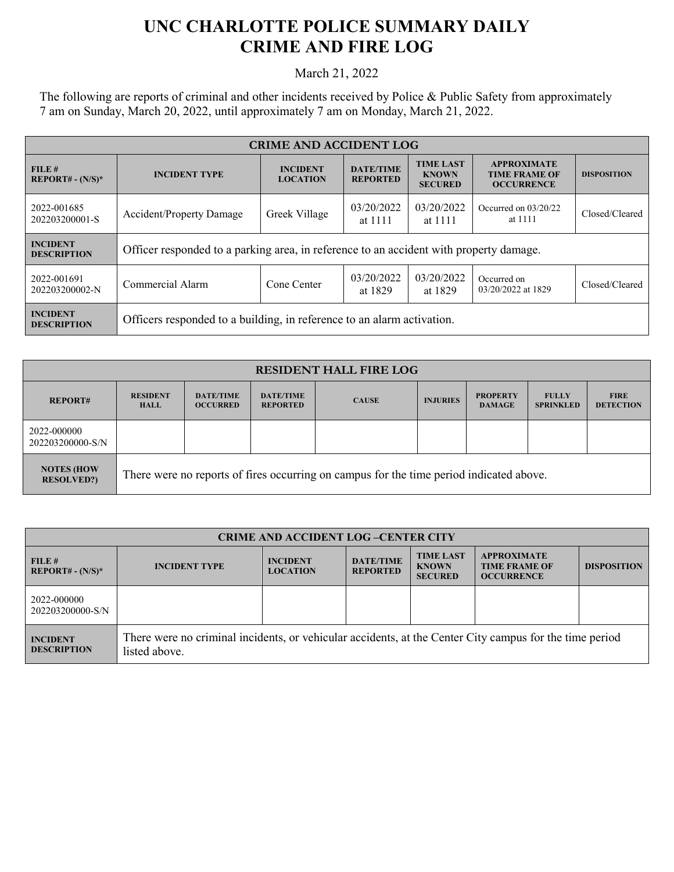## **UNC CHARLOTTE POLICE SUMMARY DAILY CRIME AND FIRE LOG**

March 21, 2022

The following are reports of criminal and other incidents received by Police & Public Safety from approximately 7 am on Sunday, March 20, 2022, until approximately 7 am on Monday, March 21, 2022.

| <b>CRIME AND ACCIDENT LOG</b>         |                                                                                        |                                    |                                                                                                                                                              |                       |                                   |                    |  |
|---------------------------------------|----------------------------------------------------------------------------------------|------------------------------------|--------------------------------------------------------------------------------------------------------------------------------------------------------------|-----------------------|-----------------------------------|--------------------|--|
| FILE#<br>$REPORT# - (N/S)*$           | <b>INCIDENT TYPE</b>                                                                   | <b>INCIDENT</b><br><b>LOCATION</b> | <b>TIME LAST</b><br><b>APPROXIMATE</b><br><b>DATE/TIME</b><br><b>KNOWN</b><br><b>TIME FRAME OF</b><br><b>REPORTED</b><br><b>OCCURRENCE</b><br><b>SECURED</b> |                       |                                   | <b>DISPOSITION</b> |  |
| 2022-001685<br>202203200001-S         | <b>Accident/Property Damage</b>                                                        | Greek Village                      | 03/20/2022<br>at 1111                                                                                                                                        | 03/20/2022<br>at 1111 | Occurred on $03/20/22$<br>at 1111 | Closed/Cleared     |  |
| <b>INCIDENT</b><br><b>DESCRIPTION</b> | Officer responded to a parking area, in reference to an accident with property damage. |                                    |                                                                                                                                                              |                       |                                   |                    |  |
| 2022-001691<br>202203200002-N         | Commercial Alarm                                                                       | Cone Center                        | 03/20/2022<br>at 1829                                                                                                                                        | 03/20/2022<br>at 1829 | Occurred on<br>03/20/2022 at 1829 | Closed/Cleared     |  |
| <b>INCIDENT</b><br><b>DESCRIPTION</b> | Officers responded to a building, in reference to an alarm activation.                 |                                    |                                                                                                                                                              |                       |                                   |                    |  |

| <b>RESIDENT HALL FIRE LOG</b>          |                                                                                         |                                     |                                     |              |                 |                                  |                                  |                                 |
|----------------------------------------|-----------------------------------------------------------------------------------------|-------------------------------------|-------------------------------------|--------------|-----------------|----------------------------------|----------------------------------|---------------------------------|
| <b>REPORT#</b>                         | <b>RESIDENT</b><br><b>HALL</b>                                                          | <b>DATE/TIME</b><br><b>OCCURRED</b> | <b>DATE/TIME</b><br><b>REPORTED</b> | <b>CAUSE</b> | <b>INJURIES</b> | <b>PROPERTY</b><br><b>DAMAGE</b> | <b>FULLY</b><br><b>SPRINKLED</b> | <b>FIRE</b><br><b>DETECTION</b> |
| 2022-000000<br>202203200000-S/N        |                                                                                         |                                     |                                     |              |                 |                                  |                                  |                                 |
| <b>NOTES (HOW</b><br><b>RESOLVED?)</b> | There were no reports of fires occurring on campus for the time period indicated above. |                                     |                                     |              |                 |                                  |                                  |                                 |

| <b>CRIME AND ACCIDENT LOG-CENTER CITY</b> |                                                                                                                          |                                    |                                     |                                                    |                                                                 |                    |
|-------------------------------------------|--------------------------------------------------------------------------------------------------------------------------|------------------------------------|-------------------------------------|----------------------------------------------------|-----------------------------------------------------------------|--------------------|
| FILE#<br>$REPORT# - (N/S)*$               | <b>INCIDENT TYPE</b>                                                                                                     | <b>INCIDENT</b><br><b>LOCATION</b> | <b>DATE/TIME</b><br><b>REPORTED</b> | <b>TIME LAST</b><br><b>KNOWN</b><br><b>SECURED</b> | <b>APPROXIMATE</b><br><b>TIME FRAME OF</b><br><b>OCCURRENCE</b> | <b>DISPOSITION</b> |
| 2022-000000<br>202203200000-S/N           |                                                                                                                          |                                    |                                     |                                                    |                                                                 |                    |
| <b>INCIDENT</b><br><b>DESCRIPTION</b>     | There were no criminal incidents, or vehicular accidents, at the Center City campus for the time period<br>listed above. |                                    |                                     |                                                    |                                                                 |                    |